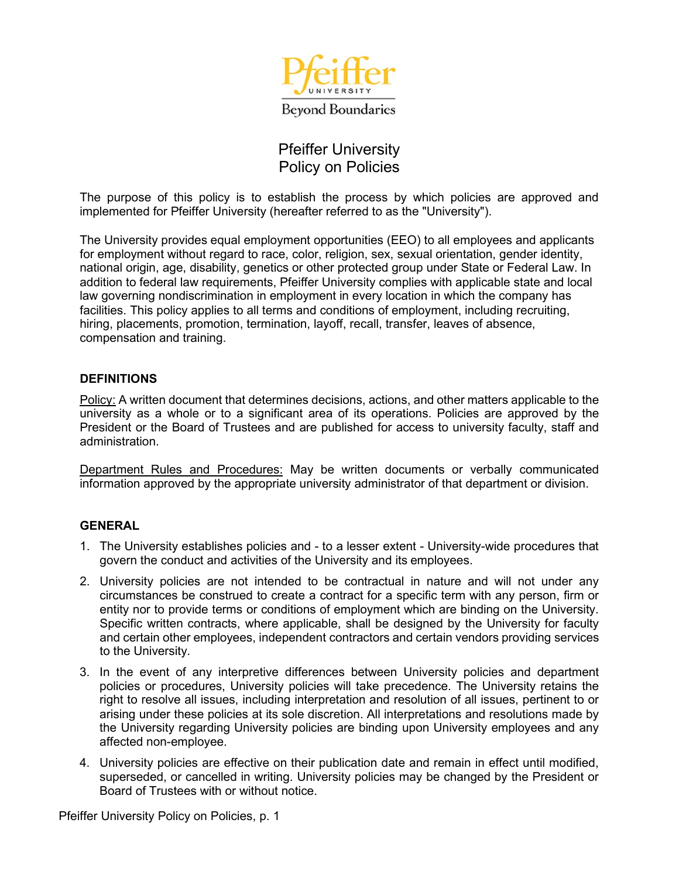

## Pfeiffer University Policy on Policies

The purpose of this policy is to establish the process by which policies are approved and implemented for Pfeiffer University (hereafter referred to as the "University").

The University provides equal employment opportunities (EEO) to all employees and applicants for employment without regard to race, color, religion, sex, sexual orientation, gender identity, national origin, age, disability, genetics or other protected group under State or Federal Law. In addition to federal law requirements, Pfeiffer University complies with applicable state and local law governing nondiscrimination in employment in every location in which the company has facilities. This policy applies to all terms and conditions of employment, including recruiting, hiring, placements, promotion, termination, layoff, recall, transfer, leaves of absence, compensation and training.

## **DEFINITIONS**

Policy: A written document that determines decisions, actions, and other matters applicable to the university as a whole or to a significant area of its operations. Policies are approved by the President or the Board of Trustees and are published for access to university faculty, staff and administration.

Department Rules and Procedures: May be written documents or verbally communicated information approved by the appropriate university administrator of that department or division.

## **GENERAL**

- 1. The University establishes policies and to a lesser extent University-wide procedures that govern the conduct and activities of the University and its employees.
- 2. University policies are not intended to be contractual in nature and will not under any circumstances be construed to create a contract for a specific term with any person, firm or entity nor to provide terms or conditions of employment which are binding on the University. Specific written contracts, where applicable, shall be designed by the University for faculty and certain other employees, independent contractors and certain vendors providing services to the University.
- 3. In the event of any interpretive differences between University policies and department policies or procedures, University policies will take precedence. The University retains the right to resolve all issues, including interpretation and resolution of all issues, pertinent to or arising under these policies at its sole discretion. All interpretations and resolutions made by the University regarding University policies are binding upon University employees and any affected non-employee.
- 4. University policies are effective on their publication date and remain in effect until modified, superseded, or cancelled in writing. University policies may be changed by the President or Board of Trustees with or without notice.

Pfeiffer University Policy on Policies, p. 1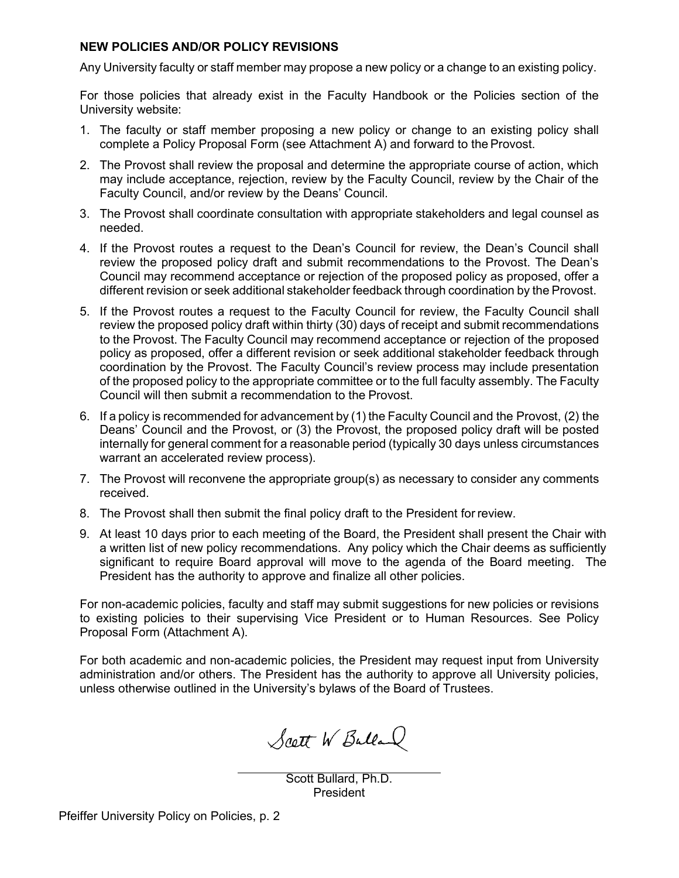## **NEW POLICIES AND/OR POLICY REVISIONS**

Any University faculty or staff member may propose a new policy or a change to an existing policy.

For those policies that already exist in the Faculty Handbook or the Policies section of the University website:

- 1. The faculty or staff member proposing a new policy or change to an existing policy shall complete a Policy Proposal Form (see Attachment A) and forward to the Provost.
- 2. The Provost shall review the proposal and determine the appropriate course of action, which may include acceptance, rejection, review by the Faculty Council, review by the Chair of the Faculty Council, and/or review by the Deans' Council.
- 3. The Provost shall coordinate consultation with appropriate stakeholders and legal counsel as needed.
- 4. If the Provost routes a request to the Dean's Council for review, the Dean's Council shall review the proposed policy draft and submit recommendations to the Provost. The Dean's Council may recommend acceptance or rejection of the proposed policy as proposed, offer a different revision or seek additional stakeholder feedback through coordination by the Provost.
- 5. If the Provost routes a request to the Faculty Council for review, the Faculty Council shall review the proposed policy draft within thirty (30) days of receipt and submit recommendations to the Provost. The Faculty Council may recommend acceptance or rejection of the proposed policy as proposed, offer a different revision or seek additional stakeholder feedback through coordination by the Provost. The Faculty Council's review process may include presentation of the proposed policy to the appropriate committee or to the full faculty assembly. The Faculty Council will then submit a recommendation to the Provost.
- 6. If a policy is recommended for advancement by (1) the Faculty Council and the Provost, (2) the Deans' Council and the Provost, or (3) the Provost, the proposed policy draft will be posted internally for general comment for a reasonable period (typically 30 days unless circumstances warrant an accelerated review process).
- 7. The Provost will reconvene the appropriate group(s) as necessary to consider any comments received.
- 8. The Provost shall then submit the final policy draft to the President for review.
- 9. At least 10 days prior to each meeting of the Board, the President shall present the Chair with a written list of new policy recommendations. Any policy which the Chair deems as sufficiently significant to require Board approval will move to the agenda of the Board meeting. The President has the authority to approve and finalize all other policies.

For non-academic policies, faculty and staff may submit suggestions for new policies or revisions to existing policies to their supervising Vice President or to Human Resources. See Policy Proposal Form (Attachment A).

For both academic and non-academic policies, the President may request input from University administration and/or others. The President has the authority to approve all University policies, unless otherwise outlined in the University's bylaws of the Board of Trustees.

Scott W Balland

Scott Bullard, Ph.D. President

Pfeiffer University Policy on Policies, p. 2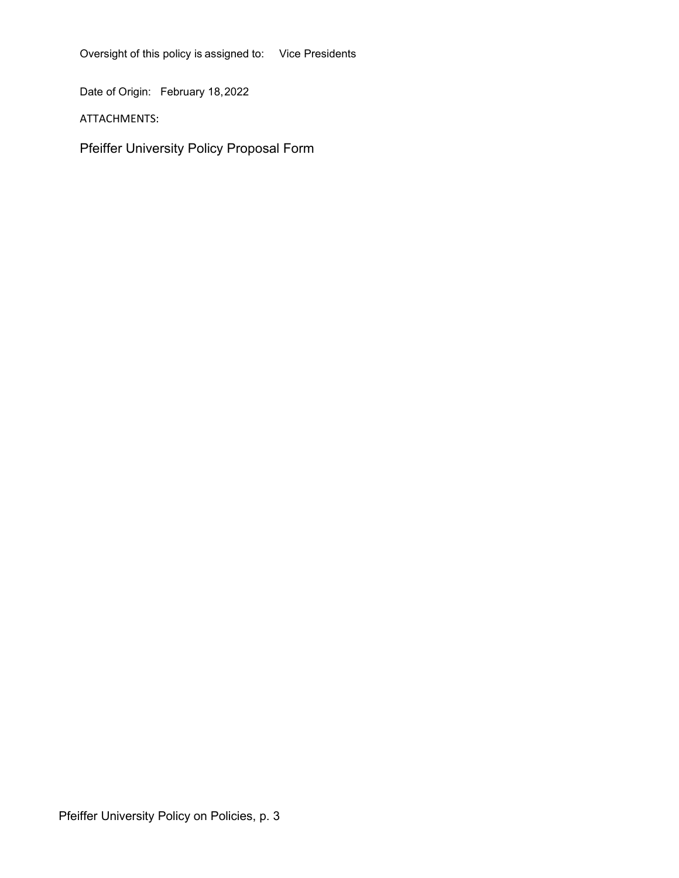Oversight of this policy is assigned to: Vice Presidents

Date of Origin: February 18,2022

ATTACHMENTS:

Pfeiffer University Policy Proposal Form